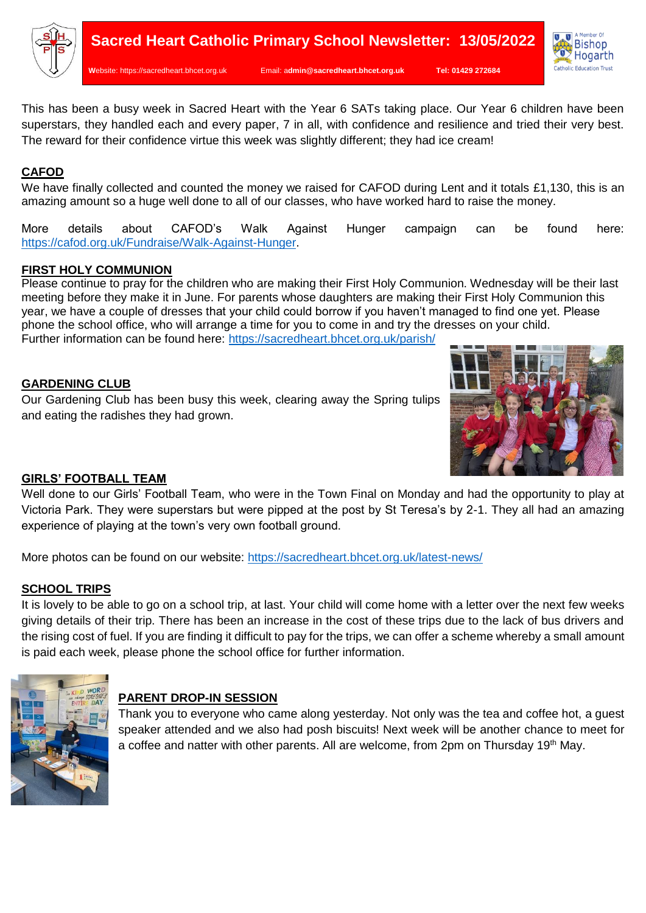



This has been a busy week in Sacred Heart with the Year 6 SATs taking place. Our Year 6 children have been superstars, they handled each and every paper, 7 in all, with confidence and resilience and tried their very best. The reward for their confidence virtue this week was slightly different; they had ice cream!

## **CAFOD**

We have finally collected and counted the money we raised for CAFOD during Lent and it totals £1,130, this is an amazing amount so a huge well done to all of our classes, who have worked hard to raise the money.

More details about CAFOD's Walk Against Hunger campaign can be found here: [https://cafod.org.uk/Fundraise/Walk-Against-Hunger.](https://cafod.org.uk/Fundraise/Walk-Against-Hunger)

## **FIRST HOLY COMMUNION**

Please continue to pray for the children who are making their First Holy Communion. Wednesday will be their last meeting before they make it in June. For parents whose daughters are making their First Holy Communion this year, we have a couple of dresses that your child could borrow if you haven't managed to find one yet. Please phone the school office, who will arrange a time for you to come in and try the dresses on your child. Further information can be found here:<https://sacredheart.bhcet.org.uk/parish/>

## **GARDENING CLUB**

Our Gardening Club has been busy this week, clearing away the Spring tulips and eating the radishes they had grown.



# **GIRLS' FOOTBALL TEAM**

Well done to our Girls' Football Team, who were in the Town Final on Monday and had the opportunity to play at Victoria Park. They were superstars but were pipped at the post by St Teresa's by 2-1. They all had an amazing experience of playing at the town's very own football ground.

More photos can be found on our website:<https://sacredheart.bhcet.org.uk/latest-news/>

### **SCHOOL TRIPS**

It is lovely to be able to go on a school trip, at last. Your child will come home with a letter over the next few weeks giving details of their trip. There has been an increase in the cost of these trips due to the lack of bus drivers and the rising cost of fuel. If you are finding it difficult to pay for the trips, we can offer a scheme whereby a small amount is paid each week, please phone the school office for further information.



# **PARENT DROP-IN SESSION**

Thank you to everyone who came along yesterday. Not only was the tea and coffee hot, a guest speaker attended and we also had posh biscuits! Next week will be another chance to meet for a coffee and natter with other parents. All are welcome, from 2pm on Thursday 19<sup>th</sup> May.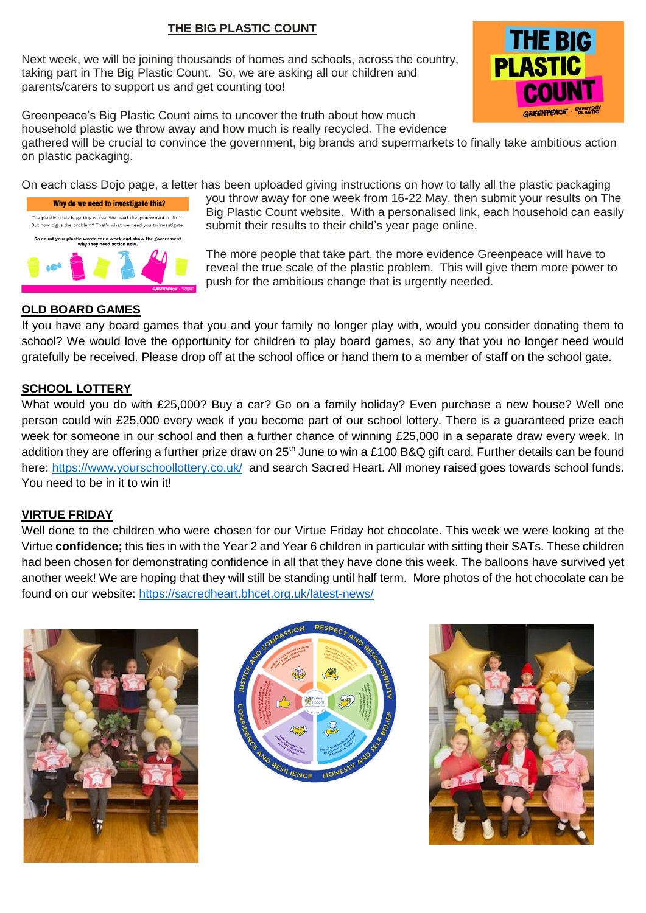#### **THE BIG PLASTIC COUNT**

Next week, we will be joining thousands of homes and schools, across the country, taking part in The Big Plastic Count. So, we are asking all our children and parents/carers to support us and get counting too!



Greenpeace's Big Plastic Count aims to uncover the truth about how much household plastic we throw away and how much is really recycled. The evidence

gathered will be crucial to convince the government, big brands and supermarkets to finally take ambitious action on plastic packaging.

On each class Dojo page, a letter has been uploaded giving instructions on how to tally all the plastic packaging



you throw away for one week from 16-22 May, then submit your results on The Big Plastic Count website. With a personalised link, each household can easily submit their results to their child's year page online.

The more people that take part, the more evidence Greenpeace will have to reveal the true scale of the plastic problem. This will give them more power to push for the ambitious change that is urgently needed.

## **OLD BOARD GAMES**

If you have any board games that you and your family no longer play with, would you consider donating them to school? We would love the opportunity for children to play board games, so any that you no longer need would gratefully be received. Please drop off at the school office or hand them to a member of staff on the school gate.

### **SCHOOL LOTTERY**

What would you do with £25,000? Buy a car? Go on a family holiday? Even purchase a new house? Well one person could win £25,000 every week if you become part of our school lottery. There is a guaranteed prize each week for someone in our school and then a further chance of winning £25,000 in a separate draw every week. In addition they are offering a further prize draw on 25<sup>th</sup> June to win a £100 B&Q gift card. Further details can be found here:<https://www.yourschoollottery.co.uk/>and search Sacred Heart. All money raised goes towards school funds. You need to be in it to win it!

### **VIRTUE FRIDAY**

Well done to the children who were chosen for our Virtue Friday hot chocolate. This week we were looking at the Virtue **confidence;** this ties in with the Year 2 and Year 6 children in particular with sitting their SATs. These children had been chosen for demonstrating confidence in all that they have done this week. The balloons have survived yet another week! We are hoping that they will still be standing until half term. More photos of the hot chocolate can be found on our website:<https://sacredheart.bhcet.org.uk/latest-news/>